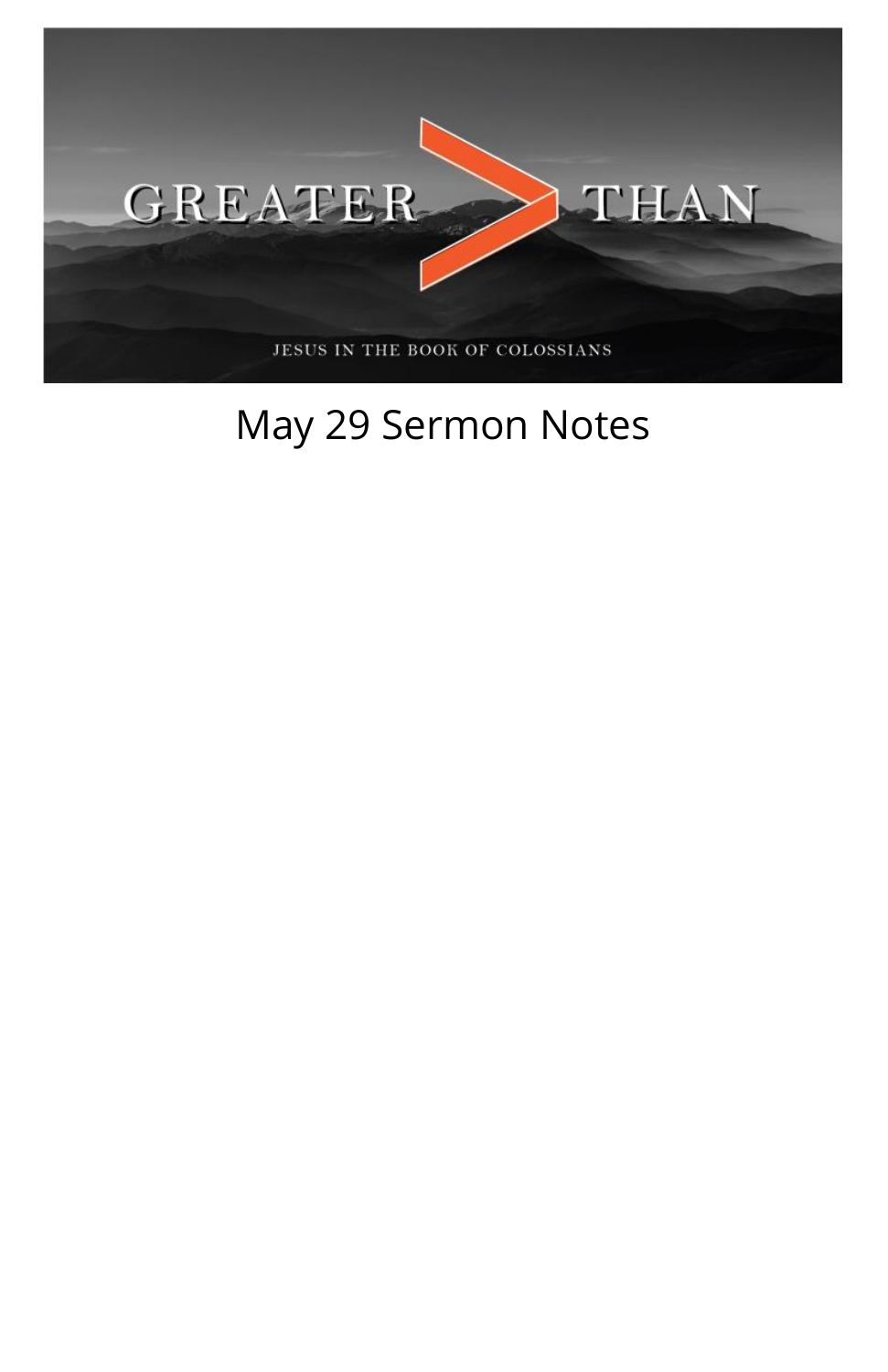

## May 29 Sermon Notes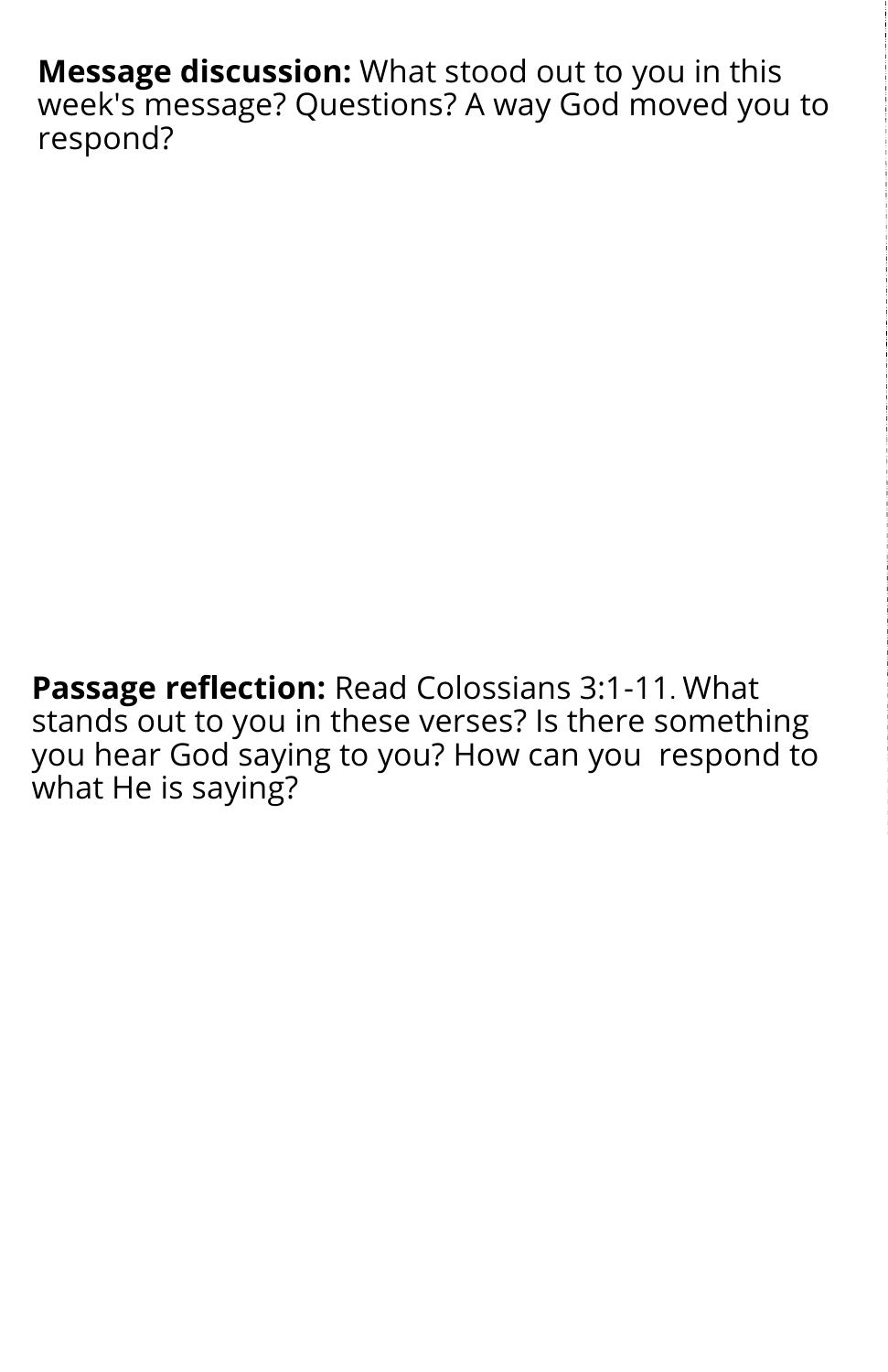**Message discussion:** What stood out to you in this week's message? Questions? A way God moved you to respond?

**Passage reflection:** Read Colossians 3:1-11. What stands out to you in these verses? Is there something you hear God saying to you? How can you respond to what He is saying?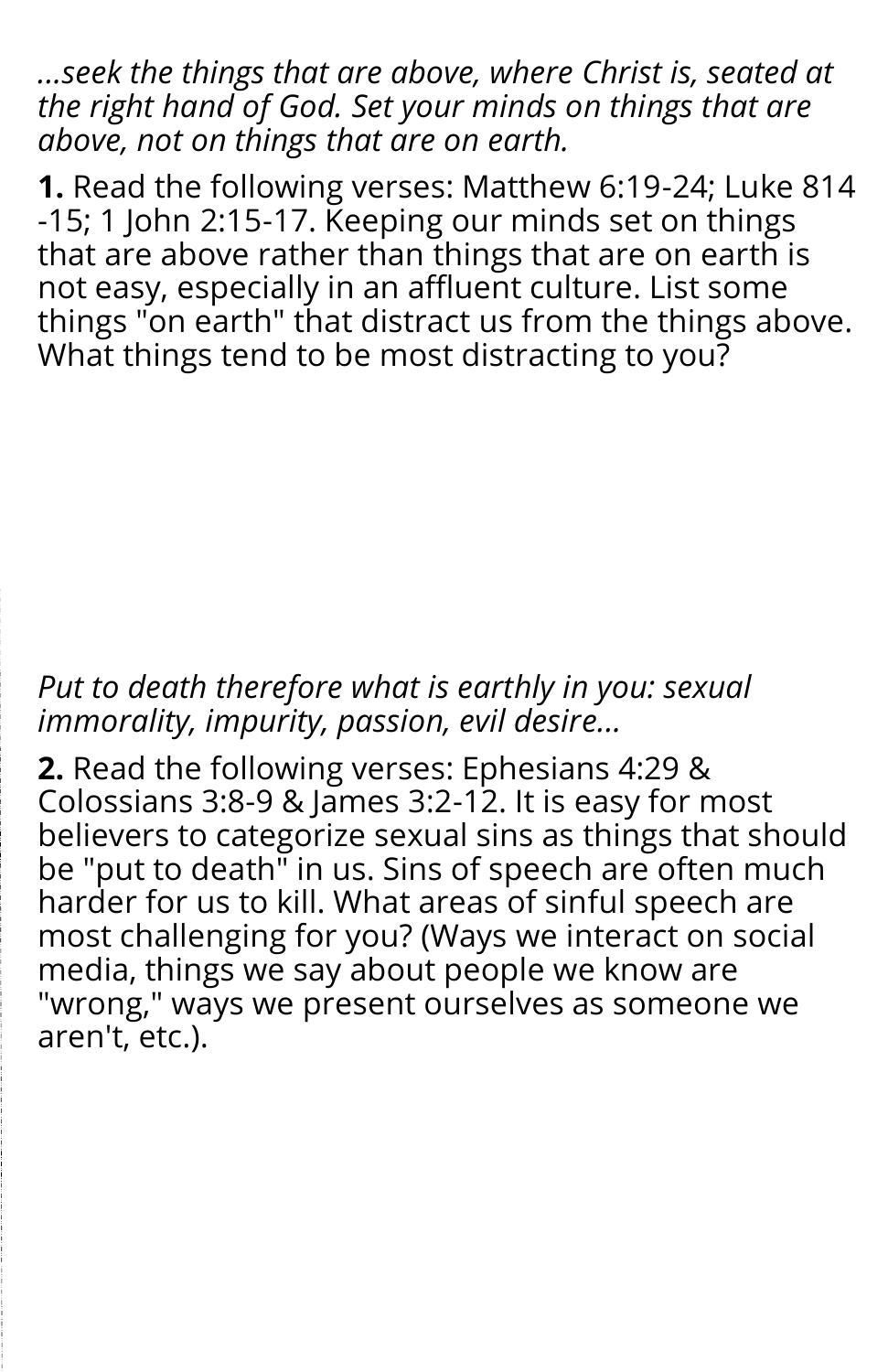*...seek the things that are above, where Christ is, seated at the right hand of God. Set your minds on things that are above, not on things that are on earth.*

**1.** Read the following verses: Matthew 6:19-24; Luke 814 -15; 1 John 2:15-17. Keeping our minds set on things that are above rather than things that are on earth is not easy, especially in an affluent culture. List some things "on earth" that distract us from the things above. What things tend to be most distracting to you?

## *Put to death therefore what is earthly in you: sexual immorality, impurity, passion, evil desire...*

**2.** Read the following verses: Ephesians 4:29 & Colossians 3:8-9 & James 3:2-12. It is easy for most believers to categorize sexual sins as things that should be "put to death" in us. Sins of speech are often much harder for us to kill. What areas of sinful speech are most challenging for you? (Ways we interact on social media, things we say about people we know are "wrong," ways we present ourselves as someone we aren't, etc.).